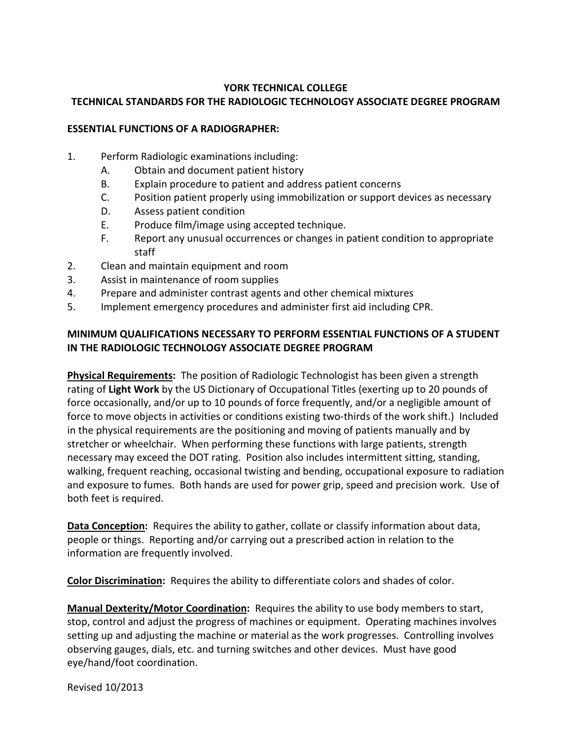#### **YORK TECHNICAL COLLEGE**

## **TECHNICAL STANDARDS FOR THE RADIOLOGIC TECHNOLOGY ASSOCIATE DEGREE PROGRAM**

### **ESSENTIAL FUNCTIONS OF A RADIOGRAPHER:**

- 1. Perform Radiologic examinations including:
	- A. Obtain and document patient history
	- B. Explain procedure to patient and address patient concerns
	- C. Position patient properly using immobilization or support devices as necessary
	- D. Assess patient condition
	- E. Produce film/image using accepted technique.
	- F. Report any unusual occurrences or changes in patient condition to appropriate staff
- 2. Clean and maintain equipment and room
- 3. Assist in maintenance of room supplies
- 4. Prepare and administer contrast agents and other chemical mixtures
- 5. Implement emergency procedures and administer first aid including CPR.

# **MINIMUM QUALIFICATIONS NECESSARY TO PERFORM ESSENTIAL FUNCTIONS OF A STUDENT IN THE RADIOLOGIC TECHNOLOGY ASSOCIATE DEGREE PROGRAM**

**Physical Requirements:** The position of Radiologic Technologist has been given a strength rating of **Light Work** by the US Dictionary of Occupational Titles (exerting up to 20 pounds of force occasionally, and/or up to 10 pounds of force frequently, and/or a negligible amount of force to move objects in activities or conditions existing two-thirds of the work shift.) Included in the physical requirements are the positioning and moving of patients manually and by stretcher or wheelchair. When performing these functions with large patients, strength necessary may exceed the DOT rating. Position also includes intermittent sitting, standing, walking, frequent reaching, occasional twisting and bending, occupational exposure to radiation and exposure to fumes. Both hands are used for power grip, speed and precision work. Use of both feet is required.

**Data Conception:** Requires the ability to gather, collate or classify information about data, people or things. Reporting and/or carrying out a prescribed action in relation to the information are frequently involved.

**Color Discrimination:** Requires the ability to differentiate colors and shades of color.

**Manual Dexterity/Motor Coordination:** Requires the ability to use body members to start, stop, control and adjust the progress of machines or equipment. Operating machines involves setting up and adjusting the machine or material as the work progresses. Controlling involves observing gauges, dials, etc. and turning switches and other devices. Must have good eye/hand/foot coordination.

Revised 10/2013